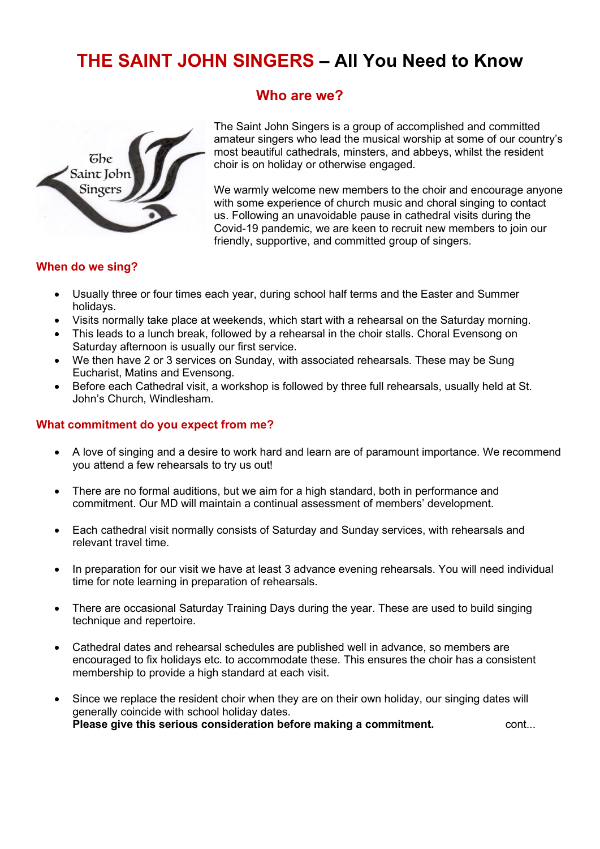# THE SAINT JOHN SINGERS – All You Need to Know

Who are we?



The Saint John Singers is a group of accomplished and committed amateur singers who lead the musical worship at some of our country's most beautiful cathedrals, minsters, and abbeys, whilst the resident choir is on holiday or otherwise engaged.

We warmly welcome new members to the choir and encourage anyone with some experience of church music and choral singing to contact us. Following an unavoidable pause in cathedral visits during the Covid-19 pandemic, we are keen to recruit new members to join our friendly, supportive, and committed group of singers.

# When do we sing?

- Usually three or four times each year, during school half terms and the Easter and Summer holidays.
- Visits normally take place at weekends, which start with a rehearsal on the Saturday morning.
- This leads to a lunch break, followed by a rehearsal in the choir stalls. Choral Evensong on Saturday afternoon is usually our first service.
- We then have 2 or 3 services on Sunday, with associated rehearsals. These may be Sung Eucharist, Matins and Evensong.
- Before each Cathedral visit, a workshop is followed by three full rehearsals, usually held at St. John's Church, Windlesham.

## What commitment do you expect from me?

- A love of singing and a desire to work hard and learn are of paramount importance. We recommend you attend a few rehearsals to try us out!
- There are no formal auditions, but we aim for a high standard, both in performance and commitment. Our MD will maintain a continual assessment of members' development.
- Each cathedral visit normally consists of Saturday and Sunday services, with rehearsals and relevant travel time.
- In preparation for our visit we have at least 3 advance evening rehearsals. You will need individual time for note learning in preparation of rehearsals.
- There are occasional Saturday Training Days during the year. These are used to build singing technique and repertoire.
- Cathedral dates and rehearsal schedules are published well in advance, so members are encouraged to fix holidays etc. to accommodate these. This ensures the choir has a consistent membership to provide a high standard at each visit.
- Since we replace the resident choir when they are on their own holiday, our singing dates will generally coincide with school holiday dates. Please give this serious consideration before making a commitment.